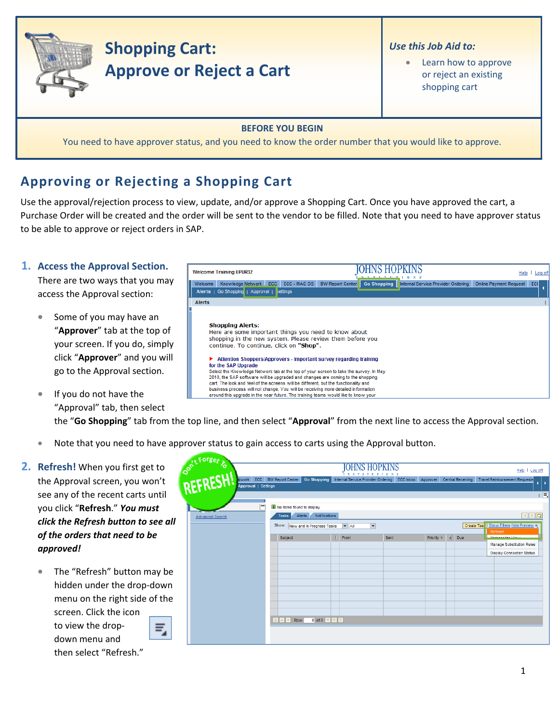

# **Shopping Cart: Approve or Reject a Cart**

#### *Use this Job Aid to:*

Learn how to approve or reject an existing shopping cart

#### **BEFORE YOU BEGIN**

You need to have approver status, and you need to know the order number that you would like to approve.

## **Approving or Rejecting a Shopping Cart**

Use the approval/rejection process to view, update, and/or approve a Shopping Cart. Once you have approved the cart, a Purchase Order will be created and the order will be sent to the vendor to be filled. Note that you need to have approver status to be able to approve or reject orders in SAP.

> Here are some important things you need to know about shopping in the new system. Please review them before you

Attention Shoppers/Approvers - Important survey regarding training

Select the Knowledge Network tab at the top of your screen to take the survey. In May 2010, the SAP software will be upgraded and changes are coming to the shopping cart. The look and feel of the screens will be different, but the functionality and

continue. To continue, click on "Shop".

### **1. Access the Approval Section.**

There are two ways that you may access the Approval section:

- Some of you may have an "**Approver**" tab at the top of your screen. If you do, simply click "**Approver**" and you will go to the Approval section.
- business process will not change. You will be receiving more detailed information • If you do not have the around this upgrade in the near future. The training teams would like to know your "Approval" tab, then select the "**Go Shopping**" tab from the top line, and then select "**Approval**" from the next line to access the Approval section.
	- Note that you need to have approver status to gain access to carts using the Approval button.

**Welcome Training UPUR32** 

Alerts

Alerts | Go Shopping | Approval | 3

**Shopping Alerts:** 

for the SAP Upgrade

- **2. Refresh!** When you first get to the Approval screen, you won't see any of the recent carts until you click "**Refresh**." *You must click the Refresh button to see all of the orders that need to be approved!*
	- The "Refresh" button may be hidden under the drop‐down menu on the right side of the screen. Click the icon to view the drop‐



then select "Refresh."

down menu and

| <b>OOKILFOREST &amp;</b> |                                                                                        |                                          |                          | IOHNS HOPKINS                                      |                  |                         |             |                          | Help                                   | Log off                                              |
|--------------------------|----------------------------------------------------------------------------------------|------------------------------------------|--------------------------|----------------------------------------------------|------------------|-------------------------|-------------|--------------------------|----------------------------------------|------------------------------------------------------|
| ECC<br><b>Atwork</b>     | <b>BW Report Center</b>                                                                | <b>Go Shopping</b>                       |                          | INSTITUTIONS<br>Internal Service Provider Ordering | <b>ECC Inbox</b> | Approver                |             | <b>Central Receiving</b> | <b>Travel Reimbursement Requeste</b>   |                                                      |
| Approval   Settings      |                                                                                        |                                          |                          |                                                    |                  |                         |             |                          |                                        | $\blacktriangleright$<br>к                           |
|                          |                                                                                        |                                          |                          |                                                    |                  |                         |             |                          |                                        | 同                                                    |
| $=$                      | No items found to display                                                              |                                          |                          |                                                    |                  |                         |             |                          |                                        |                                                      |
|                          | Alerts<br><b>Tasks</b>                                                                 | Notifications                            |                          |                                                    |                  |                         |             |                          |                                        | $\mathbb{E}[\mathbf{r}]$<br>$\left\  \cdot \right\ $ |
| <b>Advanced Search</b>   |                                                                                        |                                          |                          |                                                    |                  |                         |             |                          |                                        |                                                      |
|                          |                                                                                        | Show: New and In Progress Tasks          | $\blacktriangledown$ All | $\overline{\phantom{a}}$                           |                  |                         |             | <b>Create Tas</b>        | Show Filters Hide Preview =<br>Refresh |                                                      |
|                          | Subject                                                                                |                                          | From<br>IJ               | Sent                                               |                  | Priority $\overline{v}$ | $\emptyset$ | Due                      | <b>Demonstra Maur</b>                  |                                                      |
|                          |                                                                                        |                                          |                          |                                                    |                  |                         |             |                          | <b>Manage Substitution Rules</b>       |                                                      |
|                          |                                                                                        |                                          |                          |                                                    |                  |                         |             |                          | <b>Display Connection Status</b>       |                                                      |
|                          |                                                                                        |                                          |                          |                                                    |                  |                         |             |                          |                                        |                                                      |
|                          |                                                                                        |                                          |                          |                                                    |                  |                         |             |                          |                                        |                                                      |
|                          |                                                                                        |                                          |                          |                                                    |                  |                         |             |                          |                                        |                                                      |
|                          |                                                                                        |                                          |                          |                                                    |                  |                         |             |                          |                                        |                                                      |
|                          |                                                                                        |                                          |                          |                                                    |                  |                         |             |                          |                                        |                                                      |
|                          |                                                                                        |                                          |                          |                                                    |                  |                         |             |                          |                                        |                                                      |
|                          |                                                                                        |                                          |                          |                                                    |                  |                         |             |                          |                                        |                                                      |
|                          | Row<br>$\mathbb{E} \left\  \mathbb{E} \right\  \mathbb{E} \left\  \mathbb{E} \right\ $ | $0$ of $0$ $\boxed{\leq}$ $\boxed{\leq}$ |                          |                                                    |                  |                         |             |                          |                                        |                                                      |
|                          |                                                                                        |                                          |                          |                                                    |                  |                         |             |                          |                                        |                                                      |
|                          |                                                                                        |                                          |                          |                                                    |                  |                         |             |                          |                                        |                                                      |

**TOHNS HOPKINS** 

Velcome Knowledge Network ECC ECC - MAC OS BW Report Center Co Shopping Internal Service Provider Ordering Online Payment Request ECC

Help | Log of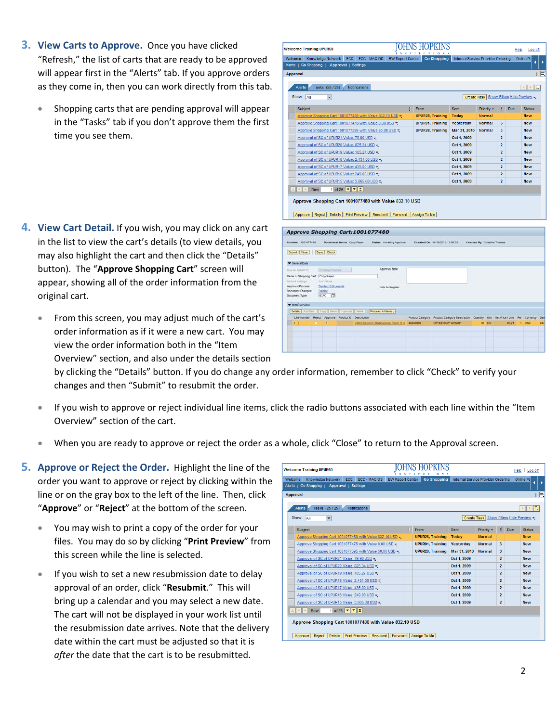- **3. View Carts to Approve.** Once you have clicked "Refresh," the list of carts that are ready to be approved will appear first in the "Alerts" tab. If you approve orders as they come in, then you can work directly from this tab.
	- Shopping carts that are pending approval will appear in the "Tasks" tab if you don't approve them the first time you see them.

- **4. View Cart Detail.** If you wish, you may click on any cart in the list to view the cart's details (to view details, you may also highlight the cart and then click the "Details" button). The "**Approve Shopping Cart**" screen will appear, showing all of the order information from the original cart.
	- From this screen, you may adjust much of the cart's order information as if it were a new cart. You may view the order information both in the "Item Overview" section, and also under the details section

| <b>Welcome Training UPUR60</b>                                                                                                                                                                                                                                                                                 |                                                          |                                                    |                      |                                                   |                         |              | ITUTIONS                       |                                                        |                             |                                           |                | Help   Log off |      |
|----------------------------------------------------------------------------------------------------------------------------------------------------------------------------------------------------------------------------------------------------------------------------------------------------------------|----------------------------------------------------------|----------------------------------------------------|----------------------|---------------------------------------------------|-------------------------|--------------|--------------------------------|--------------------------------------------------------|-----------------------------|-------------------------------------------|----------------|----------------|------|
| Welcome                                                                                                                                                                                                                                                                                                        | Knowledge Network                                        | ECC                                                |                      | ECC - MAC OS                                      | <b>BW Report Center</b> |              | <b>Go Shopping</b>             | Internal Service Provider Ordering                     |                             |                                           | Online Pa      | и              | D    |
| Alerts   Go Shopping   Approval   Settings                                                                                                                                                                                                                                                                     |                                                          |                                                    |                      |                                                   |                         |              |                                |                                                        |                             |                                           |                |                |      |
| <b>Approval</b>                                                                                                                                                                                                                                                                                                |                                                          |                                                    |                      |                                                   |                         |              |                                |                                                        |                             |                                           |                |                | E,   |
|                                                                                                                                                                                                                                                                                                                |                                                          |                                                    |                      |                                                   |                         |              |                                |                                                        |                             |                                           |                |                |      |
| Alerts                                                                                                                                                                                                                                                                                                         | Tasks (25/25)                                            |                                                    | <b>Notifications</b> |                                                   |                         |              |                                |                                                        |                             |                                           | $\overline{a}$ | $\Box$<br>b.   |      |
| Show: All                                                                                                                                                                                                                                                                                                      | $\blacktriangledown$                                     |                                                    |                      |                                                   |                         |              |                                |                                                        |                             | Create Task   Show Filters Hide Preview = |                |                |      |
| Subject                                                                                                                                                                                                                                                                                                        |                                                          |                                                    |                      |                                                   |                         | From         |                                | Sent                                                   | Priority =                  | <b>D</b><br><b>Due</b>                    |                | <b>Status</b>  |      |
|                                                                                                                                                                                                                                                                                                                | Approve Shopping Cart 1001077480 with Value 832.10 USD = |                                                    |                      |                                                   |                         |              | <b>UPUR28, Training</b>        | Today                                                  | <b>Normal</b>               |                                           |                | <b>New</b>     |      |
|                                                                                                                                                                                                                                                                                                                | Approve Shopping Cart 1001077478 with Value 0.00 USD =   |                                                    |                      |                                                   |                         |              | <b>UPUR01, Training</b>        | Yesterday                                              | <b>Normal</b>               | $\overline{\mathbf{3}}$                   |                | <b>New</b>     |      |
|                                                                                                                                                                                                                                                                                                                | Approve Shopping Cart 1001077395 with Value 50.00 USD =  |                                                    |                      |                                                   |                         |              | <b>UPUR28, Training</b>        | Mar 31, 2010                                           | <b>Normal</b>               | 3                                         |                | <b>New</b>     |      |
|                                                                                                                                                                                                                                                                                                                | Approval of SC of UPUR21 Value: 79.90 USD ≡              |                                                    |                      |                                                   |                         |              |                                | Oct 1, 2009                                            |                             | $\overline{2}$                            |                | <b>New</b>     |      |
|                                                                                                                                                                                                                                                                                                                | Approval of SC of UPUR20 Value: 825.34 USD =             |                                                    |                      |                                                   |                         |              |                                | Oct 1, 2009                                            |                             | $\overline{2}$                            |                | <b>New</b>     |      |
|                                                                                                                                                                                                                                                                                                                | Approval of SC of UPUR19 Value: 105.27 USD =             |                                                    |                      |                                                   |                         |              |                                | Oct 1, 2009                                            |                             | $\overline{2}$                            |                | <b>New</b>     |      |
|                                                                                                                                                                                                                                                                                                                | Approval of SC of UPUR18 Value: 2,431.00 USD =           |                                                    |                      |                                                   |                         |              |                                | Oct 1, 2009                                            |                             | $\overline{2}$                            |                | <b>New</b>     |      |
|                                                                                                                                                                                                                                                                                                                | Approval of SC of UPUR17 Value: 435.00 USD ≡             |                                                    |                      |                                                   |                         |              |                                | Oct 1, 2009                                            |                             | $\overline{2}$                            |                | <b>New</b>     |      |
|                                                                                                                                                                                                                                                                                                                | Approval of SC of UPUR16 Value: 249.00 USD =             |                                                    |                      |                                                   |                         |              |                                | Oct 1, 2009                                            |                             | $\overline{2}$                            |                | <b>New</b>     |      |
|                                                                                                                                                                                                                                                                                                                |                                                          |                                                    |                      |                                                   |                         |              |                                | Oct 1, 2009                                            |                             | $\overline{2}$                            |                | <b>New</b>     |      |
| Approval of SC of UPUR15 Value: 3,865.68 USD =<br>Row<br>云<br>희<br>$\mathbb{A}$<br>Approve Shopping Cart 1001077480 with Value 832.10 USD                                                                                                                                                                      |                                                          | 1 of 25 $  \mathbf{v}   \mathbf{v}  $ $\mathbf{Z}$ |                      |                                                   |                         |              |                                |                                                        |                             |                                           |                |                |      |
| Approve                                                                                                                                                                                                                                                                                                        | Reject   Details                                         |                                                    | Print Preview        | Resubmit                                          | Forward                 | Assign To Me |                                |                                                        |                             |                                           |                |                |      |
|                                                                                                                                                                                                                                                                                                                |                                                          |                                                    |                      |                                                   |                         |              |                                |                                                        |                             |                                           |                |                |      |
|                                                                                                                                                                                                                                                                                                                |                                                          |                                                    |                      |                                                   |                         |              |                                |                                                        |                             |                                           |                |                |      |
|                                                                                                                                                                                                                                                                                                                |                                                          | Document Name Copy Paper                           |                      | Status Awating Approval                           |                         |              | Created On 04/13/2010 11:06:35 |                                                        | Created By Christina Thomas |                                           |                |                |      |
|                                                                                                                                                                                                                                                                                                                |                                                          |                                                    |                      |                                                   |                         |              |                                |                                                        |                             |                                           |                |                |      |
|                                                                                                                                                                                                                                                                                                                |                                                          |                                                    |                      |                                                   |                         |              |                                |                                                        |                             |                                           |                |                |      |
|                                                                                                                                                                                                                                                                                                                | Christine Thomas                                         |                                                    |                      | Approval Note                                     |                         |              |                                |                                                        |                             |                                           |                |                |      |
|                                                                                                                                                                                                                                                                                                                |                                                          |                                                    |                      |                                                   |                         |              |                                |                                                        |                             |                                           |                |                |      |
|                                                                                                                                                                                                                                                                                                                | tiet Values                                              |                                                    |                      |                                                   |                         |              |                                |                                                        |                             |                                           |                |                |      |
|                                                                                                                                                                                                                                                                                                                | Disclay / Edit Agents<br><b>Dashir</b>                   |                                                    |                      |                                                   | Note to Supplier        |              |                                |                                                        |                             |                                           |                |                |      |
|                                                                                                                                                                                                                                                                                                                | o<br>ECPO                                                |                                                    |                      |                                                   |                         |              |                                |                                                        |                             |                                           |                |                |      |
|                                                                                                                                                                                                                                                                                                                |                                                          |                                                    |                      |                                                   |                         |              |                                |                                                        |                             |                                           |                |                |      |
| Details Addition . Copy Paste Duplicate Delate Process All tems .                                                                                                                                                                                                                                              |                                                          |                                                    |                      |                                                   |                         |              |                                |                                                        |                             |                                           |                |                |      |
| Line Number Reject Approve Product D Description                                                                                                                                                                                                                                                               |                                                          |                                                    |                      |                                                   |                         |              |                                | Product Category Product Category Description Quantity |                             | Unit Net Price / Limit                    |                | Per Currency   | Deli |
| Approve Shopping Cart:1001077480<br><b>Rumber</b> 1001077480<br>Submt   Close   Save   Check<br>Ceneral Data<br><b>Boy on Behalf Off</b><br>Name of Shopping Cart: Copy Paper<br>Default Settings:<br>Approval Process:<br><b>Document Changes:</b><br>Document Type:<br><b>T</b> tem Overview<br>3<br>$1 - 1$ | ö                                                        |                                                    |                      | DIRCE Depotific Multicuratese Paper, B 1/ 4400000 |                         |              | OFFICE SUPP & EQUIP            |                                                        | 10 CV                       | 83.21                                     |                | $1 - 050$      | DAI  |
|                                                                                                                                                                                                                                                                                                                |                                                          |                                                    |                      |                                                   |                         |              |                                |                                                        |                             |                                           |                |                |      |
|                                                                                                                                                                                                                                                                                                                |                                                          |                                                    |                      |                                                   |                         |              |                                |                                                        |                             |                                           |                |                |      |

by clicking the "Details" button. If you do change any order information, remember to click "Check" to verify your changes and then "Submit" to resubmit the order.

- If you wish to approve or reject individual line items, click the radio buttons associated with each line within the "Item Overview" section of the cart.
- When you are ready to approve or reject the order as a whole, click "Close" to return to the Approval screen.
- **5. Approve or Reject the Order.** Highlight the line of the order you want to approve or reject by clicking within the line or on the gray box to the left of the line. Then, click "**Approve**" or "**Reject**" at the bottom of the screen.
	- You may wish to print a copy of the order for your files. You may do so by clicking "**Print Preview**" from this screen while the line is selected.
	- If you wish to set a new resubmission date to delay approval of an order, click "**Resubmit**." This will bring up a calendar and you may select a new date. The cart will not be displayed in your work list until the resubmission date arrives. Note that the delivery date within the cart must be adjusted so that it is *after* the date that the cart is to be resubmitted.

| Knowledge Network ECC<br>Welcome                                          | ECC - MAC OS | <b>BW Report Center</b> | <b>Go Shopping</b>      |              | Internal Service Provider Ordering    |                          |            | Online Pa                           |
|---------------------------------------------------------------------------|--------------|-------------------------|-------------------------|--------------|---------------------------------------|--------------------------|------------|-------------------------------------|
| Alerts   Go Shopping  <br>Approval   Settings                             |              |                         |                         |              |                                       |                          |            |                                     |
|                                                                           |              |                         |                         |              |                                       |                          |            |                                     |
| <b>Approval</b>                                                           |              |                         |                         |              |                                       |                          |            |                                     |
| Tasks (25/25)<br><b>Notifications</b><br>Alerts                           |              |                         |                         |              |                                       |                          |            | $\Box$<br>$\left($<br>$\rightarrow$ |
|                                                                           |              |                         |                         |              |                                       |                          |            |                                     |
| Show: All<br>$\blacktriangledown$                                         |              |                         |                         |              | Create Task Show Filters Hide Preview |                          |            |                                     |
| Subject                                                                   |              | IJ                      | From                    | Sent         | Priority =                            | O)                       | <b>Due</b> | <b>Status</b>                       |
| Approve Shopping Cart 1001077480 with Value 832.10 USD =                  |              |                         | <b>UPUR28. Training</b> | Today        | <b>Normal</b>                         |                          |            | <b>New</b>                          |
| Approve Shopping Cart 1001077478 with Value 0.00 USD ≡                    |              |                         | <b>UPUR01, Training</b> | Yesterday    | <b>Normal</b>                         | 3                        |            | <b>New</b>                          |
| Approve Shopping Cart 1001077395 with Value 50.00 USD ■                   |              |                         | <b>UPUR28, Training</b> | Mar 31, 2010 | <b>Normal</b>                         | 3                        |            | <b>New</b>                          |
| Approval of SC of UPUR21 Value: 79.90 USD =                               |              |                         |                         | Oct 1, 2009  |                                       | $\overline{2}$           |            | <b>New</b>                          |
| Approval of SC of UPUR20 Value: 825.34 USD =                              |              |                         |                         | Oct 1, 2009  |                                       | $\overline{\phantom{a}}$ |            | <b>New</b>                          |
| Approval of SC of UPUR19 Value: 105.27 USD ≡                              |              |                         |                         | Oct 1, 2009  |                                       | $\overline{2}$           |            | <b>New</b>                          |
| Approval of SC of UPUR18 Value: 2,431.00 USD =                            |              |                         |                         | Oct 1, 2009  |                                       | $\overline{2}$           |            | <b>New</b>                          |
| Approval of SC of UPUR17 Value: 435.00 USD =                              |              |                         |                         | Oct 1, 2009  |                                       | $\overline{2}$           |            | <b>New</b>                          |
| Approval of SC of UPUR16 Value: 249.00 USD =                              |              |                         |                         | Oct 1, 2009  |                                       | $\overline{2}$           |            | <b>New</b>                          |
| Approval of SC of UPUR15 Value: 3,865.68 USD =                            |              |                         |                         | Oct 1, 2009  |                                       | $\overline{2}$           |            | <b>New</b>                          |
| 1 of 25 $\boxed{\mathbf{z}}$ $\boxed{\mathbf{z}}$<br>$\ $ $\triangle$ Row |              |                         |                         |              |                                       |                          |            |                                     |
|                                                                           |              |                         |                         |              |                                       |                          |            |                                     |
| Approve Shopping Cart 1001077480 with Value 832.10 USD                    |              |                         |                         |              |                                       |                          |            |                                     |
|                                                                           |              |                         |                         |              |                                       |                          |            |                                     |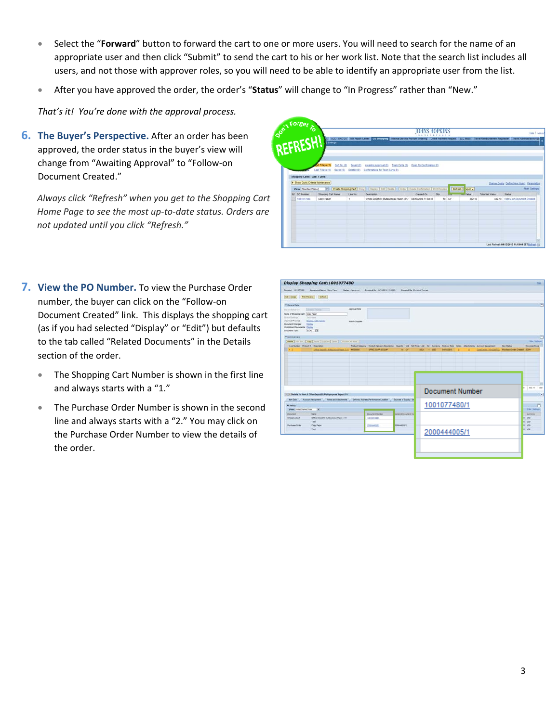- Select the "**Forward**" button to forward the cart to one or more users. You will need to search for the name of an appropriate user and then click "Submit" to send the cart to his or her work list. Note that the search list includes all users, and not those with approver roles, so you will need to be able to identify an appropriate user from the list.
- After you have approved the order, the order's "**Status**" will change to "In Progress" rather than "New."

*That's it! You're done with the approval process.*

**6. The Buyer's Perspective.** After an order has been approved, the order status in the buyer's view will change from "Awaiting Approval" to "Follow‐on Document Created."

*Always click "Refresh" when you get to the Shopping Cart Home Page to see the most up‐to‐date status. Orders are not updated until you click "Refresh."*

|                      |                                   |            |                          |                                                                                                                           |            |     |       |                                           |                 | REFRESH!<br>these Fitzgard                                                                      |
|----------------------|-----------------------------------|------------|--------------------------|---------------------------------------------------------------------------------------------------------------------------|------------|-----|-------|-------------------------------------------|-----------------|-------------------------------------------------------------------------------------------------|
|                      |                                   |            |                          |                                                                                                                           |            |     |       |                                           |                 |                                                                                                 |
|                      |                                   |            |                          |                                                                                                                           |            |     |       |                                           |                 |                                                                                                 |
|                      |                                   |            |                          |                                                                                                                           |            |     |       |                                           |                 |                                                                                                 |
|                      |                                   |            |                          |                                                                                                                           |            |     |       |                                           |                 |                                                                                                 |
|                      | LI7 Days (1)                      |            | Cart No. (0) - Saved (0) | Amattro Approval (2) Team Carta (2) Down for Conferentian (3)                                                             |            |     |       |                                           |                 |                                                                                                 |
|                      | Last 7 Days (E)                   | Sevent (D) | <b>Created (2)</b>       | Conferrations for Team Carts (8)                                                                                          |            |     |       |                                           |                 |                                                                                                 |
|                      | Shopping Carts - Last 7 Days      |            |                          |                                                                                                                           |            |     |       |                                           |                 |                                                                                                 |
|                      |                                   |            |                          |                                                                                                                           |            |     |       |                                           |                 |                                                                                                 |
|                      |                                   |            |                          |                                                                                                                           |            |     |       |                                           |                 |                                                                                                 |
| View [Standard View] | > Show Quick Criteria Maintenance |            |                          |                                                                                                                           |            |     |       |                                           |                 |                                                                                                 |
| IR SCNMMM            | Shopping Cart Name                |            | Line No.                 | [v] Create Shapping Cart   Copy     Dagany   EST   Catera     Create   Create Continuation   Fred Previews<br>Description | Created On | ON. |       | <b>Refresh   Report a</b><br><b>Calum</b> | Total Net Value | Status                                                                                          |
| 1001077400           | Copy Paper                        |            |                          | Office Depot(R) Multipurpose Paper, 8 1/ B4/13/2015 11:08:35                                                              |            |     | 10 CV | 832.10                                    |                 |                                                                                                 |
|                      |                                   |            |                          |                                                                                                                           |            |     |       |                                           |                 |                                                                                                 |
|                      |                                   |            |                          |                                                                                                                           |            |     |       |                                           |                 | Change Query Define New Query Personalize<br>Fiber Setterpy<br>832.10 Eplow on Document Created |
|                      |                                   |            |                          |                                                                                                                           |            |     |       |                                           |                 |                                                                                                 |
|                      |                                   |            |                          |                                                                                                                           |            |     |       |                                           |                 |                                                                                                 |
|                      |                                   |            |                          |                                                                                                                           |            |     |       |                                           |                 |                                                                                                 |
|                      |                                   |            |                          |                                                                                                                           |            |     |       |                                           |                 |                                                                                                 |

- **7. View the PO Number.** To view the Purchase Order number, the buyer can click on the "Follow‐on Document Created" link. This displays the shopping cart (as if you had selected "Display" or "Edit") but defaults to the tab called "Related Documents" in the Details section of the order.
	- The Shopping Cart Number is shown in the first line and always starts with a "1."
	- The Purchase Order Number is shown in the second line and always starts with a "2." You may click on the Purchase Order Number to view the details of the order.

| <b>But Prevers Gallegin</b><br>tm (Cine)<br>T General Osta<br>The as Bold FSE<br>Dennis Donald<br>Nene of Shopping Cart: Croy Feoer<br>Default Switzun<br><b>Dat Library</b><br>Approval Process<br>Dashy / X/A Aserta<br><b>Document Changes:</b><br><b>Darker</b><br>Connénert Documente Discloy<br>Document Type:<br>ICPO ITE<br><b>Visicosive</b><br>[Deale   Add fort   Case   Farm   Duraste   Dealer     Figures At form  <br>Link Number   Product D. Casurgiton | Aggressi Note<br><b>New In Supplier</b>              |                                                        |                                             |                                                                                                                                                                                         |                                                                                         | E                                                                 |
|--------------------------------------------------------------------------------------------------------------------------------------------------------------------------------------------------------------------------------------------------------------------------------------------------------------------------------------------------------------------------------------------------------------------------------------------------------------------------|------------------------------------------------------|--------------------------------------------------------|---------------------------------------------|-----------------------------------------------------------------------------------------------------------------------------------------------------------------------------------------|-----------------------------------------------------------------------------------------|-------------------------------------------------------------------|
|                                                                                                                                                                                                                                                                                                                                                                                                                                                                          |                                                      |                                                        |                                             |                                                                                                                                                                                         |                                                                                         |                                                                   |
|                                                                                                                                                                                                                                                                                                                                                                                                                                                                          |                                                      |                                                        |                                             |                                                                                                                                                                                         |                                                                                         |                                                                   |
|                                                                                                                                                                                                                                                                                                                                                                                                                                                                          |                                                      |                                                        |                                             |                                                                                                                                                                                         |                                                                                         |                                                                   |
|                                                                                                                                                                                                                                                                                                                                                                                                                                                                          |                                                      |                                                        |                                             |                                                                                                                                                                                         |                                                                                         |                                                                   |
| . .                                                                                                                                                                                                                                                                                                                                                                                                                                                                      | Littles Depart 5: Hollandsons Facer, S.U.<br>4920000 | OFFICE SUPP & FILLIP                                   | <b>H CV</b><br>21.21                        | Product Calegory : Product Calegory Description : Guardly 194 Net Prox / Lind : Per : Carrency : Delivery Date : Notes : Afterhinerina .<br>Acteuré Assignment<br>04/10/2019<br>$+$ $-$ | <b>Barn Status</b><br><b>Purchase Criter Creates BOO</b><br>Dept Center (1970)2229 (32) | <b>Desprend</b> ups                                               |
| [1] [1] Octata for tiem 1 Office Deput/0) Multipurpose Paper, E 1:                                                                                                                                                                                                                                                                                                                                                                                                       |                                                      |                                                        |                                             | Document Number                                                                                                                                                                         |                                                                                         | \$12.19<br><b>VSD</b>                                             |
| <b>Nom Earla</b><br>Account Assignment<br><b>W History</b><br><b>View:</b> United States Datar<br>$\bullet$                                                                                                                                                                                                                                                                                                                                                              | fictes and Atachments                                | Delvery Address/Ferturnance Location                   | Sources of Supply / Se                      | 1001077480/1                                                                                                                                                                            |                                                                                         | ٣<br><b>Tiber Delivery</b>                                        |
| <b>Same</b><br>Document<br><b>Shipping Cart</b><br>Total<br><b>Runshawa Criter</b><br>Cake Paper<br>Total                                                                                                                                                                                                                                                                                                                                                                | Office Deputch: Multipurpose Paper. B 1/             | <b>Desumed Number</b><br>10010774001<br><b>COMMAND</b> | without Desament Text<br><b>TUESDAARDER</b> | 2000444005/1                                                                                                                                                                            |                                                                                         | Curiancy<br><b>und</b><br><b>USD</b><br><b>LISO</b><br><b>AND</b> |